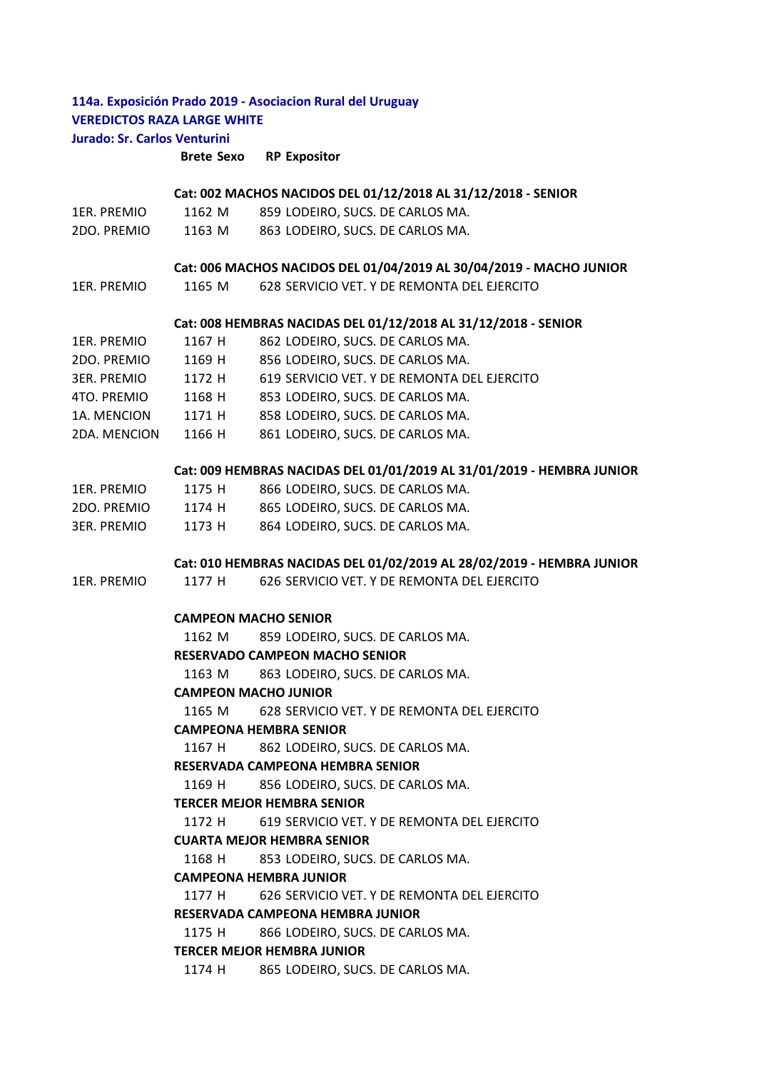# **114a. Exposición Prado 2019 - Asociacion Rural del Uruguay VEREDICTOS RAZA LARGE WHITE Jurado: Sr. Carlos Venturini**

**Brete Sexo RP Expositor**

## **Cat: 002 MACHOS NACIDOS DEL 01/12/2018 AL 31/12/2018 - SENIOR**

|                    |        | Cat: 002 MACHOS NACIDOS DEL 01/12/2018 AL 31/12/2018 - SENIOR       |
|--------------------|--------|---------------------------------------------------------------------|
| 1ER. PREMIO        | 1162 M | 859 LODEIRO, SUCS. DE CARLOS MA.                                    |
| 2DO. PREMIO        | 1163 M | 863 LODEIRO, SUCS. DE CARLOS MA.                                    |
|                    |        |                                                                     |
|                    |        | Cat: 006 MACHOS NACIDOS DEL 01/04/2019 AL 30/04/2019 - MACHO JUNIOR |
| 1ER. PREMIO        | 1165 M | 628 SERVICIO VET. Y DE REMONTA DEL EJERCITO                         |
|                    |        |                                                                     |
|                    |        | Cat: 008 HEMBRAS NACIDAS DEL 01/12/2018 AL 31/12/2018 - SENIOR      |
| 1ER. PREMIO        | 1167 H | 862 LODEIRO, SUCS. DE CARLOS MA.                                    |
| 2DO. PREMIO        | 1169 H | 856 LODEIRO, SUCS. DE CARLOS MA.                                    |
| <b>3ER. PREMIO</b> | 1172 H | 619 SERVICIO VET. Y DE REMONTA DEL EJERCITO                         |
| 4TO. PREMIO        | 1168 H | 853 LODEIRO, SUCS. DE CARLOS MA.                                    |
| 1A. MENCION        | 1171 H | 858 LODEIRO, SUCS. DE CARLOS MA.                                    |
| 2DA, MENCION       | 1166 H | 861 LODEIRO, SUCS. DE CARLOS MA.                                    |
|                    |        |                                                                     |

## **Cat: 009 HEMBRAS NACIDAS DEL 01/01/2019 AL 31/01/2019 - HEMBRA JUNIOR**

| 1ER. PREMIO | 1175 H | 866 LODEIRO. SUCS. DE CARLOS MA. |
|-------------|--------|----------------------------------|
| 2DO. PREMIO | 1174 H | 865 LODEIRO, SUCS. DE CARLOS MA. |
| 3ER. PREMIO | 1173 H | 864 LODEIRO, SUCS. DE CARLOS MA. |

# **Cat: 010 HEMBRAS NACIDAS DEL 01/02/2019 AL 28/02/2019 - HEMBRA JUNIOR**

1ER. PREMIO 1177 H 626 SERVICIO VET. Y DE REMONTA DEL EJERCITO

# **CAMPEON MACHO SENIOR**

1162 M 859 LODEIRO, SUCS. DE CARLOS MA.

# **RESERVADO CAMPEON MACHO SENIOR**

1163 M 863 LODEIRO, SUCS. DE CARLOS MA.

### **CAMPEON MACHO JUNIOR**

1165 M 628 SERVICIO VET. Y DE REMONTA DEL EJERCITO

# **CAMPEONA HEMBRA SENIOR**

1167 H 862 LODEIRO, SUCS. DE CARLOS MA.

### **RESERVADA CAMPEONA HEMBRA SENIOR**

1169 H 856 LODEIRO, SUCS. DE CARLOS MA.

## **TERCER MEJOR HEMBRA SENIOR**

1172 H 619 SERVICIO VET. Y DE REMONTA DEL EJERCITO

#### **CUARTA MEJOR HEMBRA SENIOR**

1168 H 853 LODEIRO, SUCS. DE CARLOS MA.

#### **CAMPEONA HEMBRA JUNIOR**

1177 H 626 SERVICIO VET. Y DE REMONTA DEL EJERCITO

# **RESERVADA CAMPEONA HEMBRA JUNIOR**

1175 H 866 LODEIRO, SUCS. DE CARLOS MA.

### **TERCER MEJOR HEMBRA JUNIOR**

1174 H 865 LODEIRO, SUCS. DE CARLOS MA.